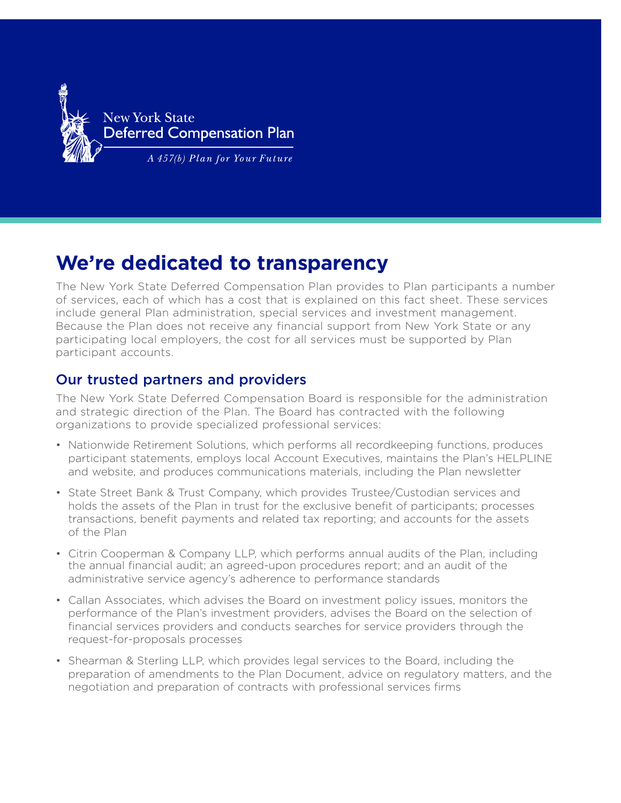

New York State Deferred

# **We're dedicated to transparency**

The New York State Deferred Compensation Plan provides to Plan participants a number of services, each of which has a cost that is explained on this fact sheet. These services include general Plan administration, special services and investment management. Because the Plan does not receive any financial support from New York State or any participating local employers, the cost for all services must be supported by Plan participant accounts.

### Our trusted partners and providers

The New York State Deferred Compensation Board is responsible for the administration and strategic direction of the Plan. The Board has contracted with the following organizations to provide specialized professional services:

- Nationwide Retirement Solutions, which performs all recordkeeping functions, produces participant statements, employs local Account Executives, maintains the Plan's HELPLINE and website, and produces communications materials, including the Plan newsletter
- State Street Bank & Trust Company, which provides Trustee/Custodian services and holds the assets of the Plan in trust for the exclusive benefit of participants; processes transactions, benefit payments and related tax reporting; and accounts for the assets of the Plan
- Citrin Cooperman & Company LLP, which performs annual audits of the Plan, including the annual financial audit; an agreed-upon procedures report; and an audit of the administrative service agency's adherence to performance standards
- Callan Associates, which advises the Board on investment policy issues, monitors the performance of the Plan's investment providers, advises the Board on the selection of financial services providers and conducts searches for service providers through the request-for-proposals processes
- Shearman & Sterling LLP, which provides legal services to the Board, including the preparation of amendments to the Plan Document, advice on regulatory matters, and the negotiation and preparation of contracts with professional services firms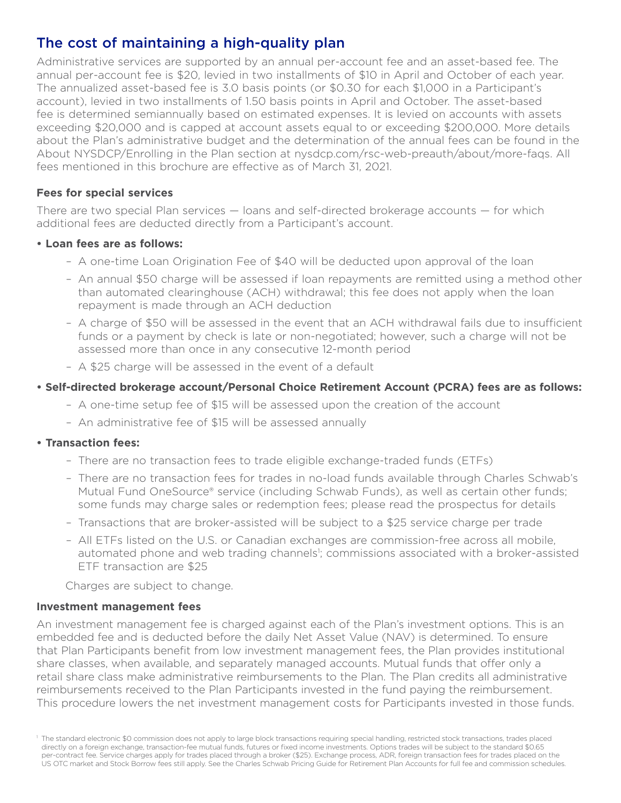## The cost of maintaining a high-quality plan

Administrative services are supported by an annual per-account fee and an asset-based fee. The annual per-account fee is \$20, levied in two installments of \$10 in April and October of each year. The annualized asset-based fee is 3.0 basis points (or \$0.30 for each \$1,000 in a Participant's account), levied in two installments of 1.50 basis points in April and October. The asset-based fee is determined semiannually based on estimated expenses. It is levied on accounts with assets exceeding \$20,000 and is capped at account assets equal to or exceeding \$200,000. More details about the Plan's administrative budget and the determination of the annual fees can be found in the About NYSDCP/Enrolling in the Plan section at nysdcp.com/rsc-web-preauth/about/more-faqs. All fees mentioned in this brochure are effective as of March 31, 2021.

#### **Fees for special services**

There are two special Plan services — loans and self-directed brokerage accounts — for which additional fees are deducted directly from a Participant's account.

#### **• Loan fees are as follows:**

- A one-time Loan Origination Fee of \$40 will be deducted upon approval of the loan
- An annual \$50 charge will be assessed if loan repayments are remitted using a method other than automated clearinghouse (ACH) withdrawal; this fee does not apply when the loan repayment is made through an ACH deduction
- A charge of \$50 will be assessed in the event that an ACH withdrawal fails due to insufficient funds or a payment by check is late or non-negotiated; however, such a charge will not be assessed more than once in any consecutive 12-month period
- A \$25 charge will be assessed in the event of a default

#### **• Self-directed brokerage account/Personal Choice Retirement Account (PCRA) fees are as follows:**

- A one-time setup fee of \$15 will be assessed upon the creation of the account
- An administrative fee of \$15 will be assessed annually

#### **• Transaction fees:**

- There are no transaction fees to trade eligible exchange-traded funds (ETFs)
- There are no transaction fees for trades in no-load funds available through Charles Schwab's Mutual Fund OneSource® service (including Schwab Funds), as well as certain other funds; some funds may charge sales or redemption fees; please read the prospectus for details
- Transactions that are broker-assisted will be subject to a \$25 service charge per trade
- All ETFs listed on the U.S. or Canadian exchanges are commission-free across all mobile, automated phone and web trading channels<sup>1</sup>; commissions associated with a broker-assisted ETF transaction are \$25

Charges are subject to change.

#### **Investment management fees**

An investment management fee is charged against each of the Plan's investment options. This is an embedded fee and is deducted before the daily Net Asset Value (NAV) is determined. To ensure that Plan Participants benefit from low investment management fees, the Plan provides institutional share classes, when available, and separately managed accounts. Mutual funds that offer only a retail share class make administrative reimbursements to the Plan. The Plan credits all administrative reimbursements received to the Plan Participants invested in the fund paying the reimbursement. This procedure lowers the net investment management costs for Participants invested in those funds.

<sup>&</sup>lt;sup>1</sup> The standard electronic \$0 commission does not apply to large block transactions requiring special handling, restricted stock transactions, trades placed directly on a foreign exchange, transaction-fee mutual funds, futures or fixed income investments. Options trades will be subject to the standard \$0.65 per-contract fee. Service charges apply for trades placed through a broker (\$25). Exchange process, ADR, foreign transaction fees for trades placed on the US OTC market and Stock Borrow fees still apply. See the Charles Schwab Pricing Guide for Retirement Plan Accounts for full fee and commission schedules.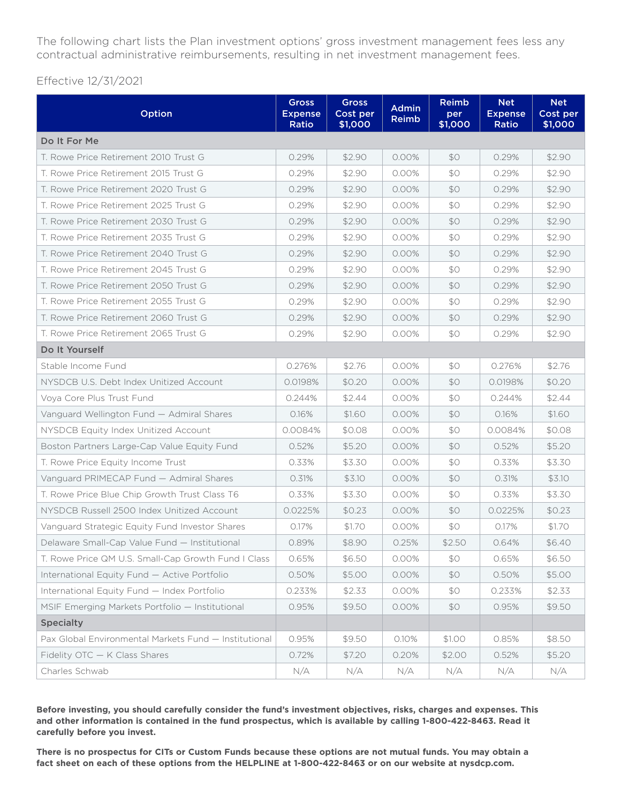The following chart lists the Plan investment options' gross investment management fees less any contractual administrative reimbursements, resulting in net investment management fees.

Effective 12/31/2021

| Option                                                | <b>Gross</b><br><b>Expense</b><br>Ratio | <b>Gross</b><br>Cost per<br>\$1,000 | <b>Admin</b><br>Reimb | <b>Reimb</b><br>per<br>\$1,000 | <b>Net</b><br><b>Expense</b><br>Ratio | <b>Net</b><br>Cost per<br>\$1,000 |
|-------------------------------------------------------|-----------------------------------------|-------------------------------------|-----------------------|--------------------------------|---------------------------------------|-----------------------------------|
| Do It For Me                                          |                                         |                                     |                       |                                |                                       |                                   |
| T. Rowe Price Retirement 2010 Trust G                 | 0.29%                                   | \$2.90                              | $0.00\%$              | \$0                            | 0.29%                                 | \$2.90                            |
| T. Rowe Price Retirement 2015 Trust G                 | 0.29%                                   | \$2.90                              | 0.00%                 | \$0                            | 0.29%                                 | \$2.90                            |
| T. Rowe Price Retirement 2020 Trust G                 | 0.29%                                   | \$2.90                              | 0.00%                 | \$0                            | 0.29%                                 | \$2.90                            |
| T. Rowe Price Retirement 2025 Trust G                 | 0.29%                                   | \$2.90                              | $0.00\%$              | \$0                            | 0.29%                                 | \$2.90                            |
| T. Rowe Price Retirement 2030 Trust G                 | 0.29%                                   | \$2.90                              | 0.00%                 | \$0                            | 0.29%                                 | \$2.90                            |
| T. Rowe Price Retirement 2035 Trust G                 | 0.29%                                   | \$2.90                              | 0.00%                 | \$0                            | 0.29%                                 | \$2.90                            |
| T. Rowe Price Retirement 2040 Trust G                 | 0.29%                                   | \$2.90                              | 0.00%                 | \$0                            | 0.29%                                 | \$2.90                            |
| T. Rowe Price Retirement 2045 Trust G                 | 0.29%                                   | \$2.90                              | 0.00%                 | \$0                            | 0.29%                                 | \$2.90                            |
| T. Rowe Price Retirement 2050 Trust G                 | 0.29%                                   | \$2.90                              | 0.00%                 | \$0                            | 0.29%                                 | \$2.90                            |
| T. Rowe Price Retirement 2055 Trust G                 | 0.29%                                   | \$2.90                              | 0.00%                 | \$0                            | 0.29%                                 | \$2.90                            |
| T. Rowe Price Retirement 2060 Trust G                 | 0.29%                                   | \$2.90                              | 0.00%                 | \$0                            | 0.29%                                 | \$2.90                            |
| T. Rowe Price Retirement 2065 Trust G                 | 0.29%                                   | \$2.90                              | 0.00%                 | \$0                            | 0.29%                                 | \$2.90                            |
| Do It Yourself                                        |                                         |                                     |                       |                                |                                       |                                   |
| Stable Income Fund                                    | 0.276%                                  | \$2.76                              | 0.00%                 | \$0                            | 0.276%                                | \$2.76                            |
| NYSDCB U.S. Debt Index Unitized Account               | 0.0198%                                 | \$0.20                              | 0.00%                 | \$0                            | 0.0198%                               | \$0.20                            |
| Voya Core Plus Trust Fund                             | 0.244%                                  | \$2.44                              | 0.00%                 | \$0                            | 0.244%                                | \$2.44                            |
| Vanguard Wellington Fund - Admiral Shares             | 0.16%                                   | \$1.60                              | 0.00%                 | \$0                            | 0.16%                                 | \$1.60                            |
| NYSDCB Equity Index Unitized Account                  | 0.0084%                                 | \$0.08                              | 0.00%                 | \$0                            | 0.0084%                               | \$0.08                            |
| Boston Partners Large-Cap Value Equity Fund           | 0.52%                                   | \$5.20                              | 0.00%                 | \$0                            | 0.52%                                 | \$5.20                            |
| T. Rowe Price Equity Income Trust                     | 0.33%                                   | \$3.30                              | 0.00%                 | \$0                            | 0.33%                                 | \$3.30                            |
| Vanguard PRIMECAP Fund - Admiral Shares               | 0.31%                                   | \$3.10                              | 0.00%                 | \$0                            | 0.31%                                 | \$3.10                            |
| T. Rowe Price Blue Chip Growth Trust Class T6         | 0.33%                                   | \$3.30                              | 0.00%                 | \$0                            | 0.33%                                 | \$3.30                            |
| NYSDCB Russell 2500 Index Unitized Account            | 0.0225%                                 | \$0.23                              | 0.00%                 | \$0                            | 0.0225%                               | \$0.23                            |
| Vanguard Strategic Equity Fund Investor Shares        | 0.17%                                   | \$1.70                              | 0.00%                 | \$0                            | 0.17%                                 | \$1.70                            |
| Delaware Small-Cap Value Fund - Institutional         | 0.89%                                   | \$8.90                              | 0.25%                 | \$2.50                         | 0.64%                                 | \$6.40                            |
| T. Rowe Price QM U.S. Small-Cap Growth Fund I Class   | 0.65%                                   | \$6.50                              | 0.00%                 | \$0                            | 0.65%                                 | \$6.50                            |
| International Equity Fund - Active Portfolio          | 0.50%                                   | \$5.00                              | 0.00%                 | \$0                            | 0.50%                                 | \$5.00                            |
| International Equity Fund - Index Portfolio           | 0.233%                                  | \$2.33                              | 0.00%                 | \$0                            | 0.233%                                | \$2.33                            |
| MSIF Emerging Markets Portfolio - Institutional       | 0.95%                                   | \$9.50                              | $0.00\%$              | \$0                            | 0.95%                                 | \$9.50                            |
| <b>Specialty</b>                                      |                                         |                                     |                       |                                |                                       |                                   |
| Pax Global Environmental Markets Fund - Institutional | 0.95%                                   | \$9.50                              | 0.10%                 | \$1.00                         | 0.85%                                 | \$8.50                            |
| Fidelity OTC - K Class Shares                         | 0.72%                                   | \$7.20                              | 0.20%                 | \$2.00                         | 0.52%                                 | \$5.20                            |
| Charles Schwab                                        | N/A                                     | N/A                                 | N/A                   | N/A                            | N/A                                   | N/A                               |

**Before investing, you should carefully consider the fund's investment objectives, risks, charges and expenses. This and other information is contained in the fund prospectus, which is available by calling 1-800-422-8463. Read it carefully before you invest.**

**There is no prospectus for CITs or Custom Funds because these options are not mutual funds. You may obtain a fact sheet on each of these options from the HELPLINE at 1-800-422-8463 or on our website at [nysdcp.com.](http://www.nysdcp.com)**